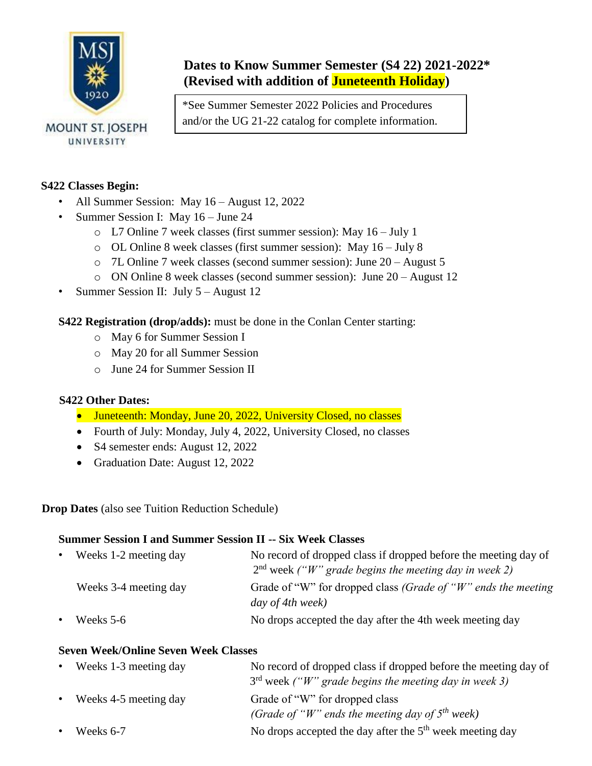

# **Dates to Know Summer Semester (S4 22) 2021-2022\* (Revised with addition of Juneteenth Holiday)**

\*See Summer Semester 2022 Policies and Procedures and/or the UG 21-22 catalog for complete information.

## **S422 Classes Begin:**

- All Summer Session: May 16 August 12, 2022
- Summer Session I: May 16 June 24
	- o L7 Online 7 week classes (first summer session): May 16 July 1
	- o OL Online 8 week classes (first summer session): May 16 July 8
	- o 7L Online 7 week classes (second summer session): June 20 August 5
	- o ON Online 8 week classes (second summer session): June 20 August 12
- Summer Session II: July 5 August 12

**S422 Registration (drop/adds):** must be done in the Conlan Center starting:

- o May 6 for Summer Session I
- o May 20 for all Summer Session
- o June 24 for Summer Session II

### **S422 Other Dates:**

- Juneteenth: Monday, June 20, 2022, University Closed, no classes
- Fourth of July: Monday, July 4, 2022, University Closed, no classes
- S4 semester ends: August 12, 2022
- Graduation Date: August 12, 2022

**Drop Dates** (also see Tuition Reduction Schedule)

## **Summer Session I and Summer Session II -- Six Week Classes**

| $\bullet$ | Weeks 1-2 meeting day | No record of dropped class if dropped before the meeting day of<br>$2nd$ week ("W" grade begins the meeting day in week 2) |  |
|-----------|-----------------------|----------------------------------------------------------------------------------------------------------------------------|--|
|           | Weeks 3-4 meeting day | Grade of "W" for dropped class (Grade of "W" ends the meeting<br>day of 4th week)                                          |  |
|           | Weeks 5-6             | No drops accepted the day after the 4th week meeting day                                                                   |  |

### **Seven Week/Online Seven Week Classes**

| $\bullet$ | Weeks 1-3 meeting day | No record of dropped class if dropped before the meeting day of<br>$3rd$ week ("W" grade begins the meeting day in week 3) |
|-----------|-----------------------|----------------------------------------------------------------------------------------------------------------------------|
| $\bullet$ | Weeks 4-5 meeting day | Grade of "W" for dropped class<br>(Grade of "W" ends the meeting day of $5th$ week)                                        |
| $\bullet$ | Weeks 6-7             | No drops accepted the day after the $5th$ week meeting day                                                                 |